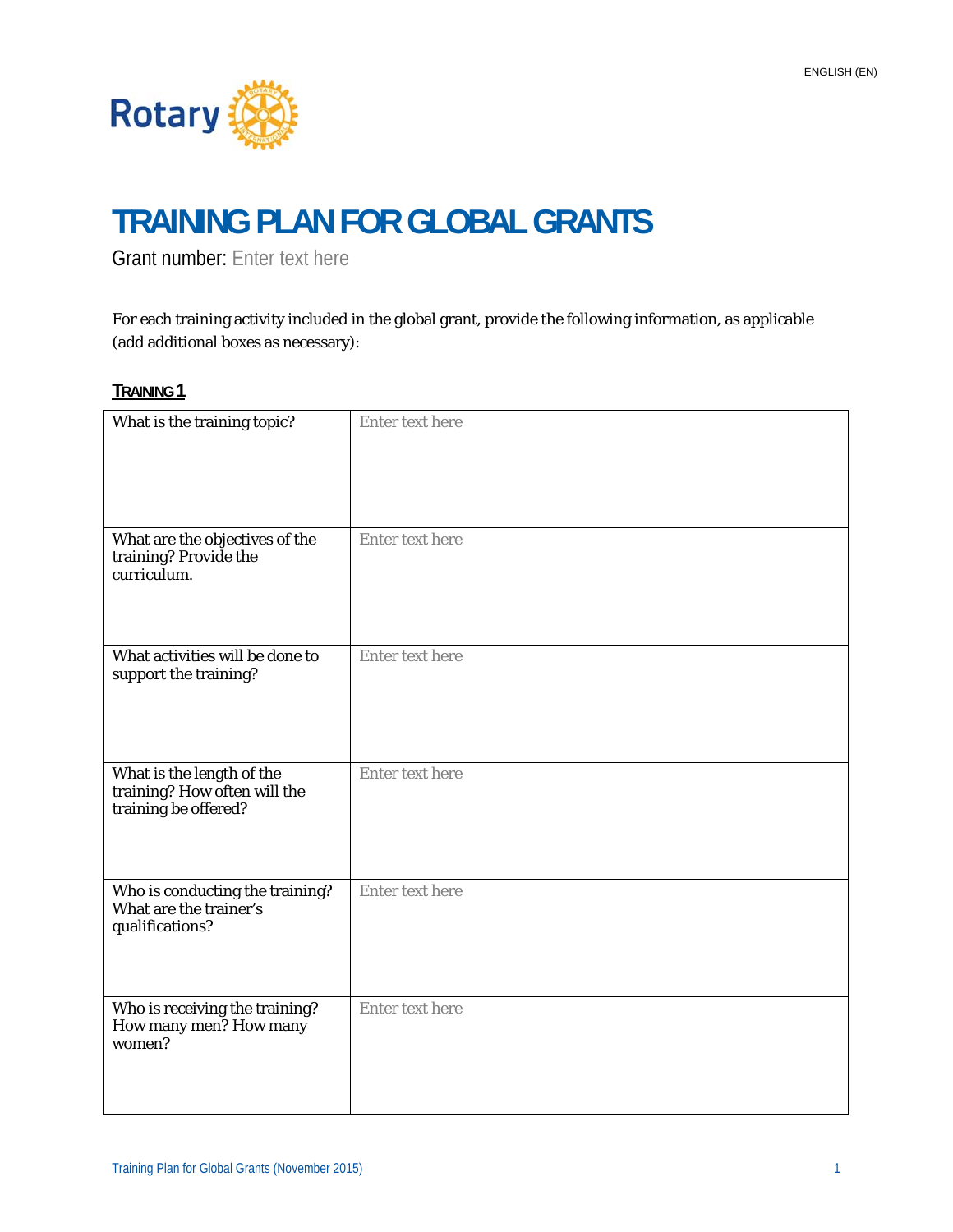

# **TRAINING PLAN FOR GLOBAL GRANTS**

Grant number: Enter text here

For each training activity included in the global grant, provide the following information, as applicable (add additional boxes as necessary):

| What is the training topic?                                                       | <b>Enter text here</b> |
|-----------------------------------------------------------------------------------|------------------------|
| What are the objectives of the<br>training? Provide the<br>curriculum.            | Enter text here        |
| What activities will be done to<br>support the training?                          | Enter text here        |
| What is the length of the<br>training? How often will the<br>training be offered? | Enter text here        |
| Who is conducting the training?<br>What are the trainer's<br>qualifications?      | Enter text here        |
| Who is receiving the training?<br>How many men? How many<br>women?                | Enter text here        |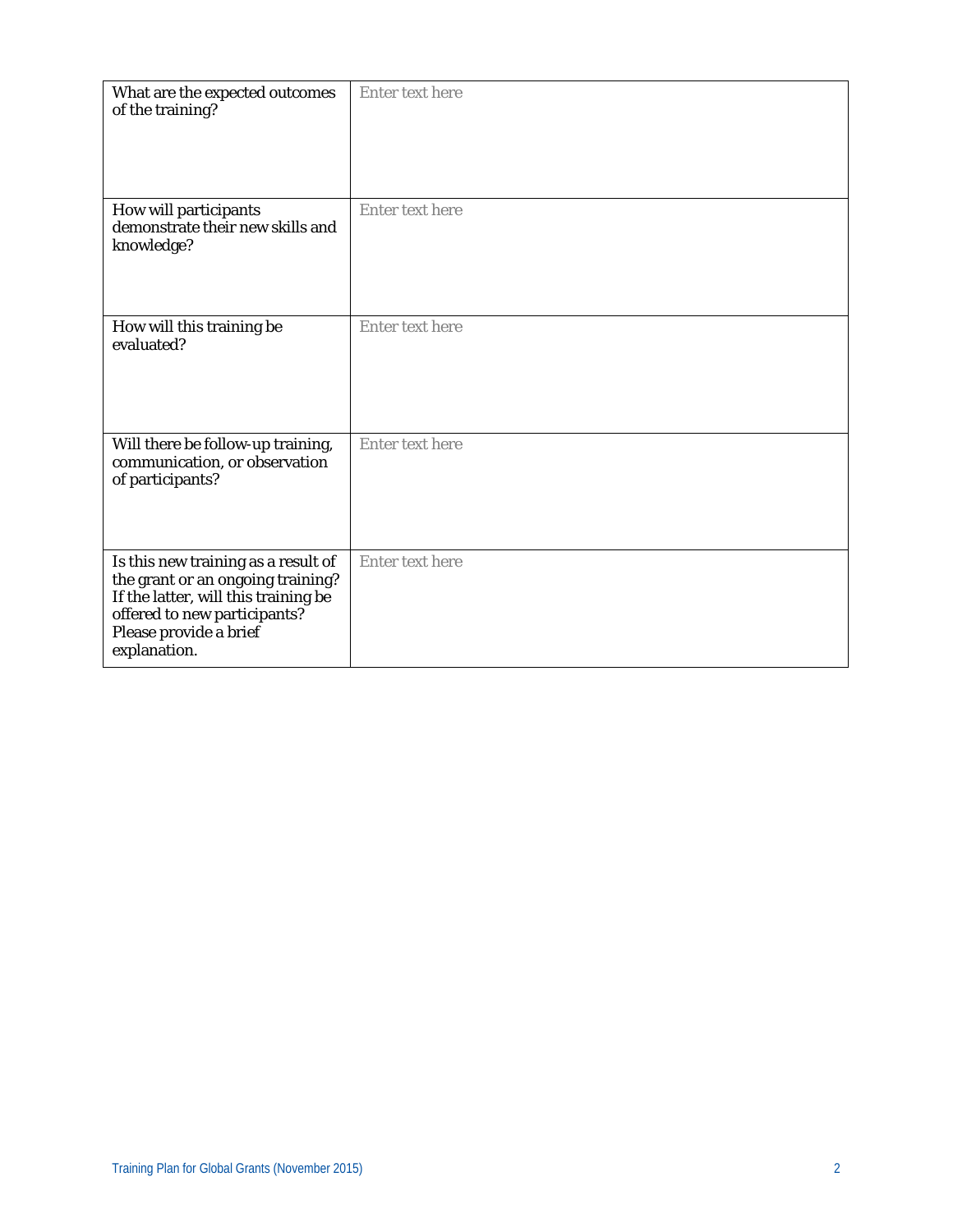| What are the expected outcomes<br>of the training?                                                                                                                                         | <b>Enter text here</b> |
|--------------------------------------------------------------------------------------------------------------------------------------------------------------------------------------------|------------------------|
| How will participants<br>demonstrate their new skills and<br>knowledge?                                                                                                                    | Enter text here        |
| How will this training be<br>evaluated?                                                                                                                                                    | Enter text here        |
| Will there be follow-up training,<br>communication, or observation<br>of participants?                                                                                                     | <b>Enter text here</b> |
| Is this new training as a result of<br>the grant or an ongoing training?<br>If the latter, will this training be<br>offered to new participants?<br>Please provide a brief<br>explanation. | Enter text here        |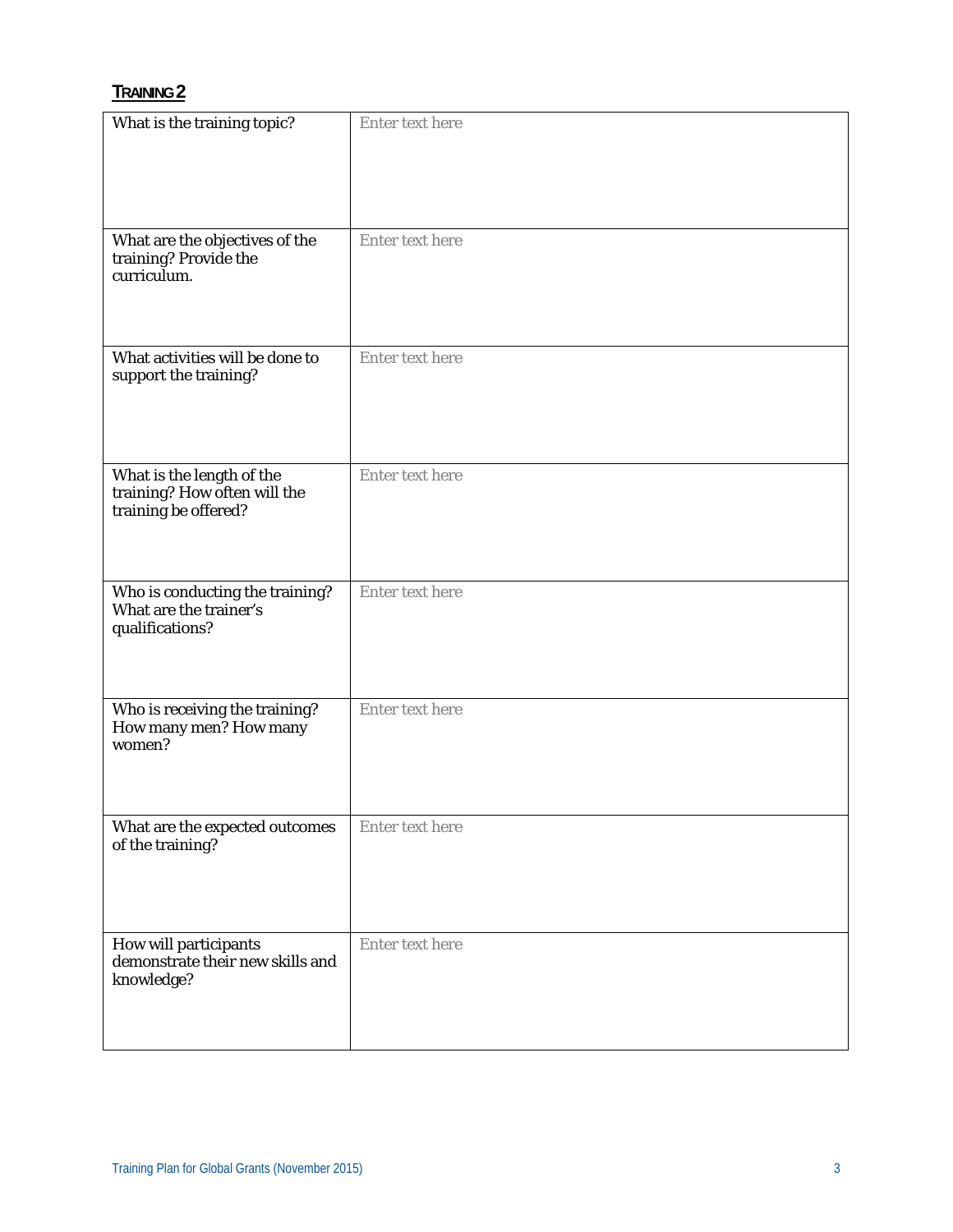| What is the training topic?                                                       | Enter text here        |
|-----------------------------------------------------------------------------------|------------------------|
| What are the objectives of the<br>training? Provide the<br>curriculum.            | Enter text here        |
| What activities will be done to<br>support the training?                          | Enter text here        |
| What is the length of the<br>training? How often will the<br>training be offered? | Enter text here        |
| Who is conducting the training?<br>What are the trainer's<br>qualifications?      | <b>Enter text here</b> |
| Who is receiving the training?<br>How many men? How many<br>women?                | Enter text here        |
| What are the expected outcomes<br>of the training?                                | Enter text here        |
| How will participants<br>demonstrate their new skills and<br>knowledge?           | Enter text here        |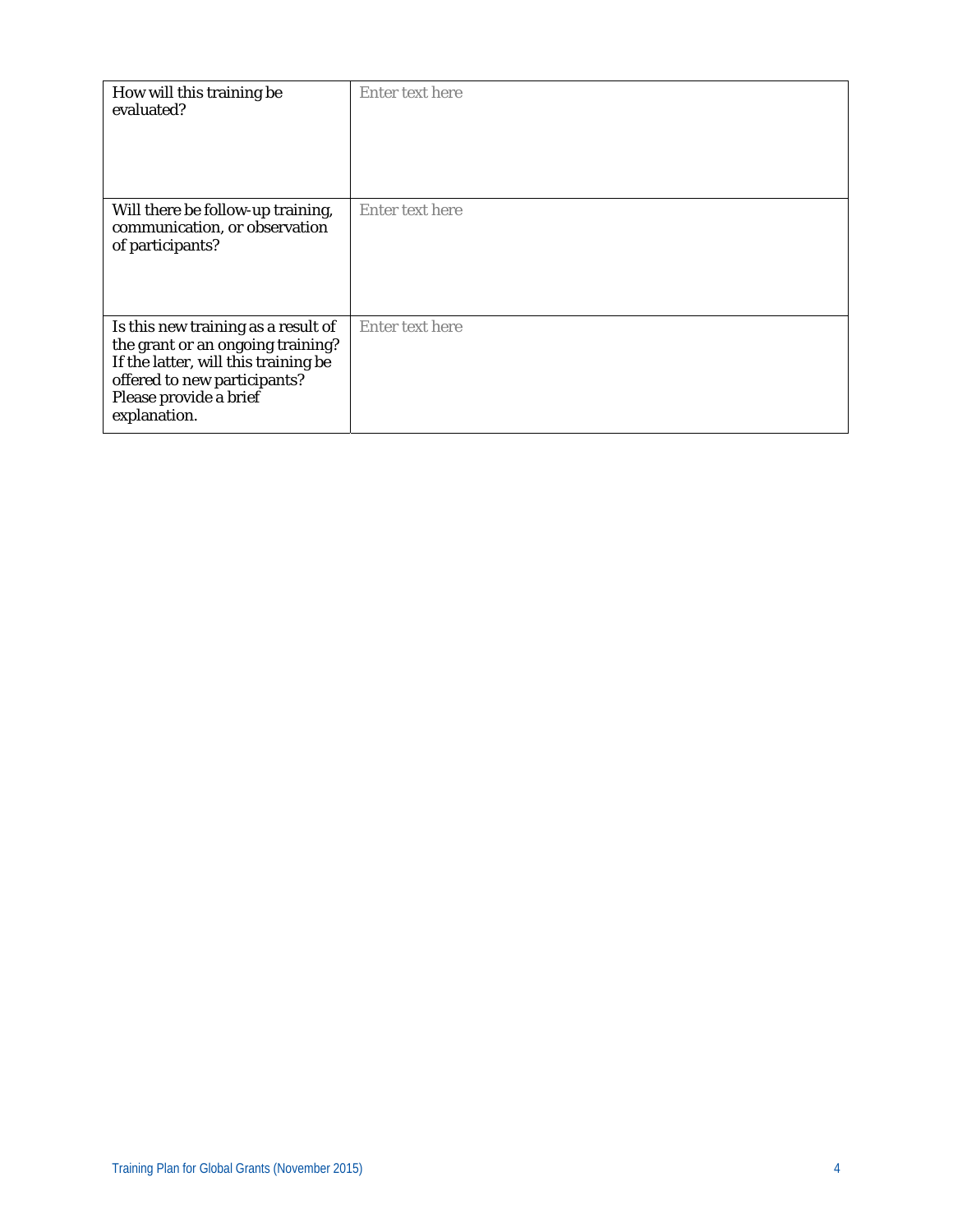| How will this training be<br>evaluated?                                                                                                                                                    | Enter text here |
|--------------------------------------------------------------------------------------------------------------------------------------------------------------------------------------------|-----------------|
| Will there be follow-up training,<br>communication, or observation<br>of participants?                                                                                                     | Enter text here |
| Is this new training as a result of<br>the grant or an ongoing training?<br>If the latter, will this training be<br>offered to new participants?<br>Please provide a brief<br>explanation. | Enter text here |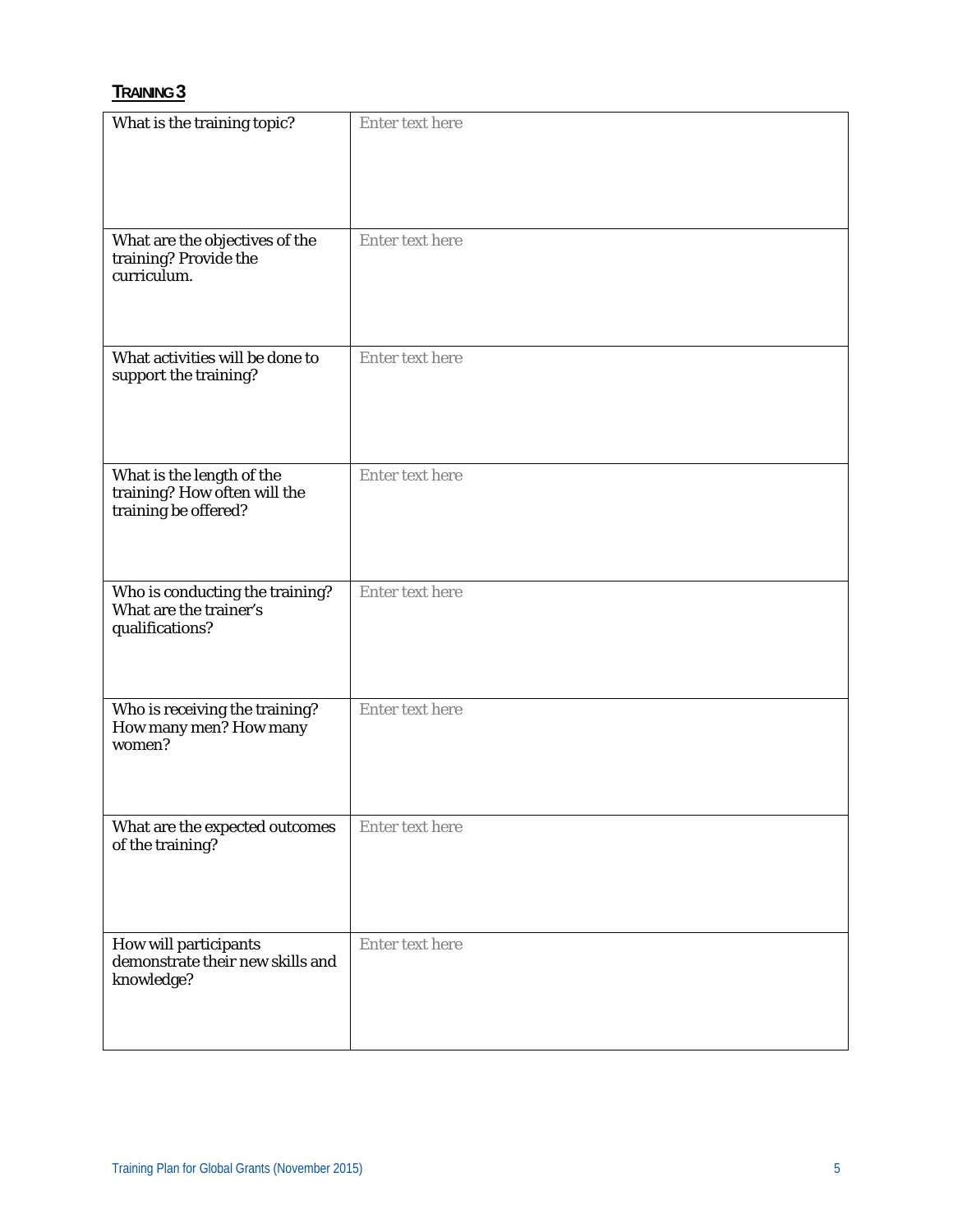| What is the training topic?                                                       | Enter text here |
|-----------------------------------------------------------------------------------|-----------------|
| What are the objectives of the<br>training? Provide the<br>curriculum.            | Enter text here |
| What activities will be done to<br>support the training?                          | Enter text here |
| What is the length of the<br>training? How often will the<br>training be offered? | Enter text here |
| Who is conducting the training?<br>What are the trainer's<br>qualifications?      | Enter text here |
| Who is receiving the training?<br>How many men? How many<br>women?                | Enter text here |
| What are the expected outcomes<br>of the training?                                | Enter text here |
| How will participants<br>demonstrate their new skills and<br>knowledge?           | Enter text here |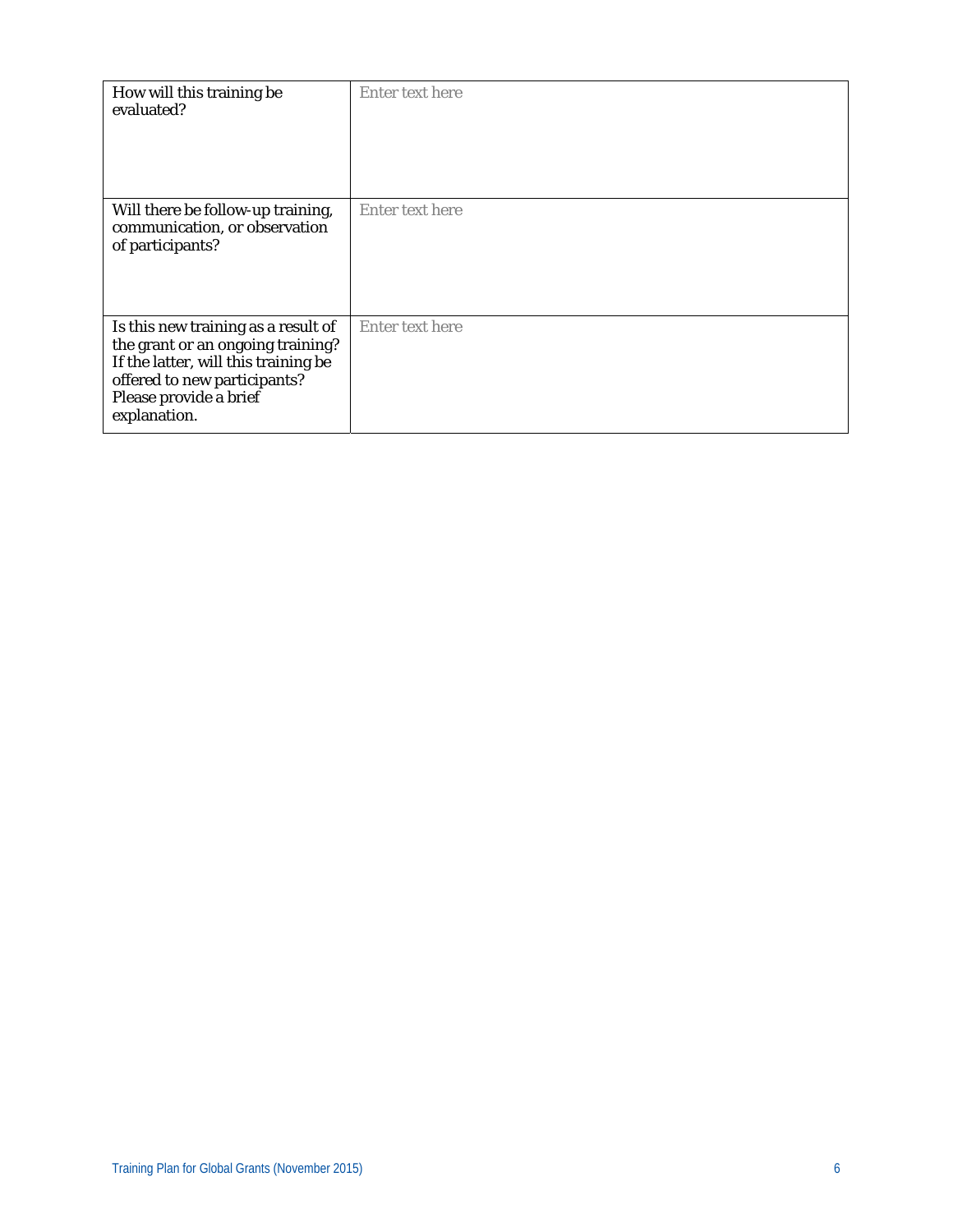| How will this training be<br>evaluated?                                                                                                                                                    | Enter text here |
|--------------------------------------------------------------------------------------------------------------------------------------------------------------------------------------------|-----------------|
| Will there be follow-up training,<br>communication, or observation<br>of participants?                                                                                                     | Enter text here |
| Is this new training as a result of<br>the grant or an ongoing training?<br>If the latter, will this training be<br>offered to new participants?<br>Please provide a brief<br>explanation. | Enter text here |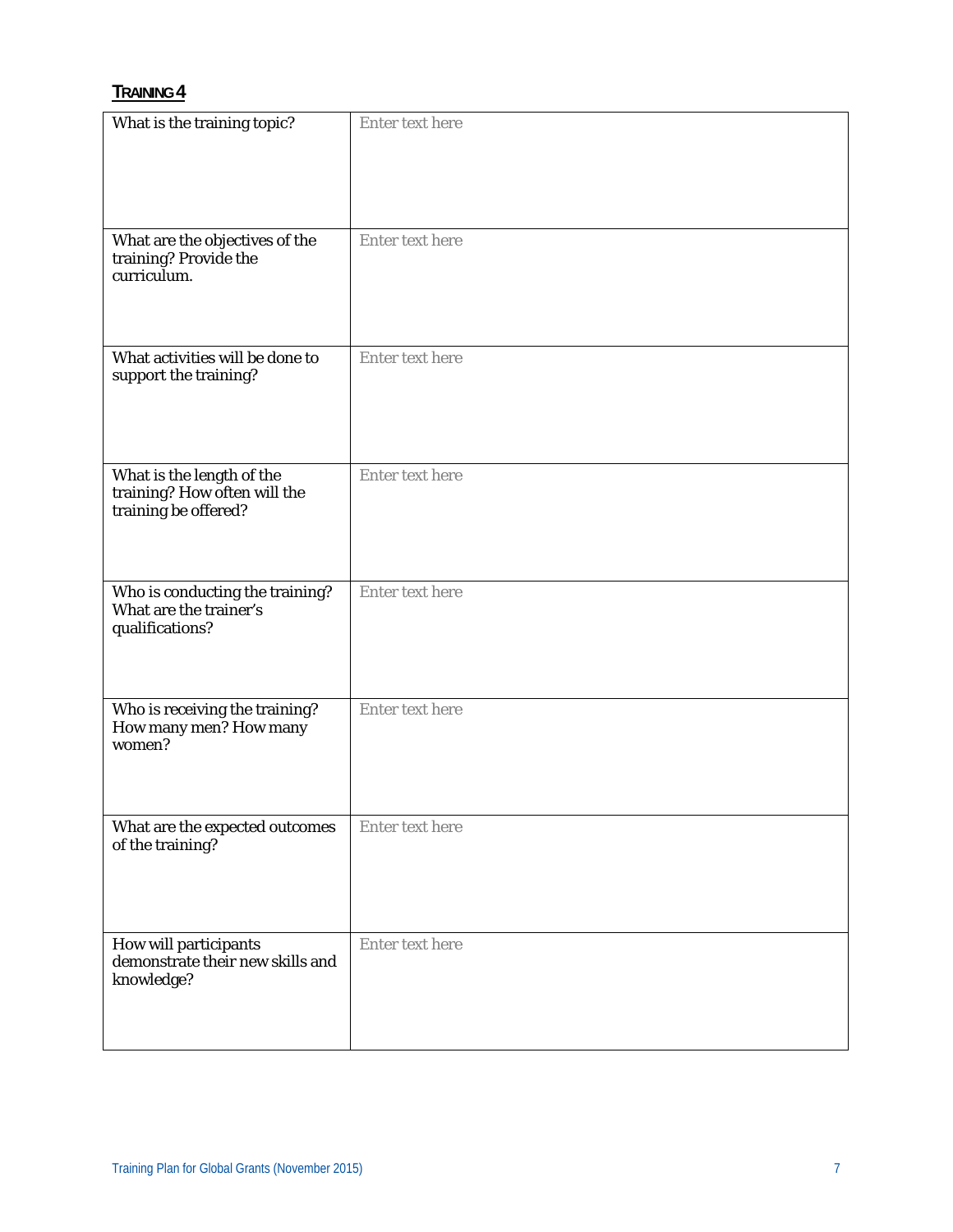| What is the training topic?                                                       | Enter text here |
|-----------------------------------------------------------------------------------|-----------------|
| What are the objectives of the<br>training? Provide the<br>curriculum.            | Enter text here |
| What activities will be done to<br>support the training?                          | Enter text here |
| What is the length of the<br>training? How often will the<br>training be offered? | Enter text here |
| Who is conducting the training?<br>What are the trainer's<br>qualifications?      | Enter text here |
| Who is receiving the training?<br>How many men? How many<br>women?                | Enter text here |
| What are the expected outcomes<br>of the training?                                | Enter text here |
| How will participants<br>demonstrate their new skills and<br>knowledge?           | Enter text here |